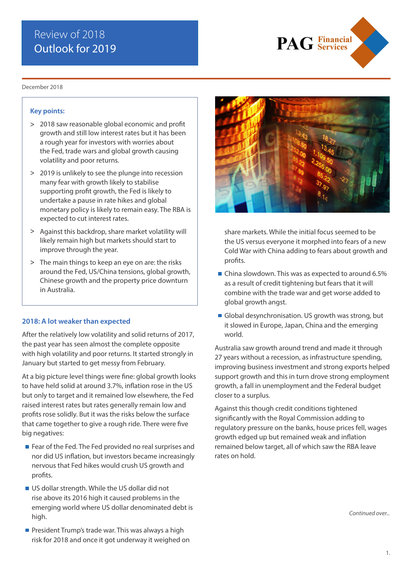# Review of 2018 Outlook for 2019



#### December 2018

#### **Key points:**

- 2018 saw reasonable global economic and profit **>** growth and still low interest rates but it has been a rough year for investors with worries about the Fed, trade wars and global growth causing volatility and poor returns.
- 2019 is unlikely to see the plunge into recession **>** many fear with growth likely to stabilise supporting profit growth, the Fed is likely to undertake a pause in rate hikes and global monetary policy is likely to remain easy. The RBA is expected to cut interest rates.
- Against this backdrop, share market volatility will **>** likely remain high but markets should start to improve through the year.
- The main things to keep an eye on are: the risks **>**around the Fed, US/China tensions, global growth, Chinese growth and the property price downturn in Australia.

#### **2018: A lot weaker than expected**

After the relatively low volatility and solid returns of 2017, the past year has seen almost the complete opposite with high volatility and poor returns. It started strongly in January but started to get messy from February.

At a big picture level things were fine: global growth looks to have held solid at around 3.7%, inflation rose in the US but only to target and it remained low elsewhere, the Fed raised interest rates but rates generally remain low and profits rose solidly. But it was the risks below the surface that came together to give a rough ride. There were five big negatives:

- Fear of the Fed. The Fed provided no real surprises and nor did US inflation, but investors became increasingly nervous that Fed hikes would crush US growth and profits.
- US dollar strength. While the US dollar did not rise above its 2016 high it caused problems in the emerging world where US dollar denominated debt is high.
- **President Trump's trade war. This was always a high** risk for 2018 and once it got underway it weighed on



share markets. While the initial focus seemed to be the US versus everyone it morphed into fears of a new Cold War with China adding to fears about growth and profits.

- China slowdown. This was as expected to around 6.5% as a result of credit tightening but fears that it will combine with the trade war and get worse added to global growth angst.
- Global desynchronisation. US growth was strong, but it slowed in Europe, Japan, China and the emerging world.

Australia saw growth around trend and made it through 27 years without a recession, as infrastructure spending, improving business investment and strong exports helped support growth and this in turn drove strong employment growth, a fall in unemployment and the Federal budget closer to a surplus.

Against this though credit conditions tightened significantly with the Royal Commission adding to regulatory pressure on the banks, house prices fell, wages growth edged up but remained weak and inflation remained below target, all of which saw the RBA leave rates on hold.

*Continued over..*.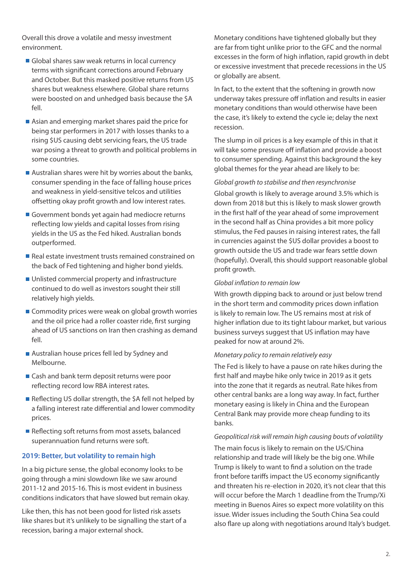Overall this drove a volatile and messy investment environment.

- Global shares saw weak returns in local currency terms with significant corrections around February and October. But this masked positive returns from US shares but weakness elsewhere. Global share returns were boosted on and unhedged basis because the \$A fell.
- Asian and emerging market shares paid the price for being star performers in 2017 with losses thanks to a rising \$US causing debt servicing fears, the US trade war posing a threat to growth and political problems in some countries.
- Australian shares were hit by worries about the banks, consumer spending in the face of falling house prices and weakness in yield-sensitive telcos and utilities offsetting okay profit growth and low interest rates.
- Government bonds yet again had mediocre returns reflecting low yields and capital losses from rising yields in the US as the Fed hiked. Australian bonds outperformed.
- Real estate investment trusts remained constrained on the back of Fed tightening and higher bond yields.
- Unlisted commercial property and infrastructure continued to do well as investors sought their still relatively high yields.
- Commodity prices were weak on global growth worries and the oil price had a roller coaster ride, first surging ahead of US sanctions on Iran then crashing as demand fell.
- Australian house prices fell led by Sydney and Melbourne.
- Cash and bank term deposit returns were poor reflecting record low RBA interest rates.
- Reflecting US dollar strength, the \$A fell not helped by a falling interest rate differential and lower commodity prices.
- Reflecting soft returns from most assets, balanced superannuation fund returns were soft.

## **2019: Better, but volatility to remain high**

In a big picture sense, the global economy looks to be going through a mini slowdown like we saw around 2011-12 and 2015-16. This is most evident in business conditions indicators that have slowed but remain okay.

Like then, this has not been good for listed risk assets like shares but it's unlikely to be signalling the start of a recession, baring a major external shock.

Monetary conditions have tightened globally but they are far from tight unlike prior to the GFC and the normal excesses in the form of high inflation, rapid growth in debt or excessive investment that precede recessions in the US or globally are absent.

In fact, to the extent that the softening in growth now underway takes pressure off inflation and results in easier monetary conditions than would otherwise have been the case, it's likely to extend the cycle ie; delay the next recession.

The slump in oil prices is a key example of this in that it will take some pressure off inflation and provide a boost to consumer spending. Against this background the key global themes for the year ahead are likely to be:

*Global growth to stabilise and then resynchronise*

Global growth is likely to average around 3.5% which is down from 2018 but this is likely to mask slower growth in the first half of the year ahead of some improvement in the second half as China provides a bit more policy stimulus, the Fed pauses in raising interest rates, the fall in currencies against the \$US dollar provides a boost to growth outside the US and trade war fears settle down (hopefully). Overall, this should support reasonable global profit growth.

## *Global inflation to remain low*

With growth dipping back to around or just below trend in the short term and commodity prices down inflation is likely to remain low. The US remains most at risk of higher inflation due to its tight labour market, but various business surveys suggest that US inflation may have peaked for now at around 2%.

#### *Monetary policy to remain relatively easy*

The Fed is likely to have a pause on rate hikes during the first half and maybe hike only twice in 2019 as it gets into the zone that it regards as neutral. Rate hikes from other central banks are a long way away. In fact, further monetary easing is likely in China and the European Central Bank may provide more cheap funding to its banks.

## *Geopolitical risk will remain high causing bouts of volatility*

The main focus is likely to remain on the US/China relationship and trade will likely be the big one. While Trump is likely to want to find a solution on the trade front before tariffs impact the US economy significantly and threaten his re-election in 2020, it's not clear that this will occur before the March 1 deadline from the Trump/Xi meeting in Buenos Aires so expect more volatility on this issue. Wider issues including the South China Sea could also flare up along with negotiations around Italy's budget.